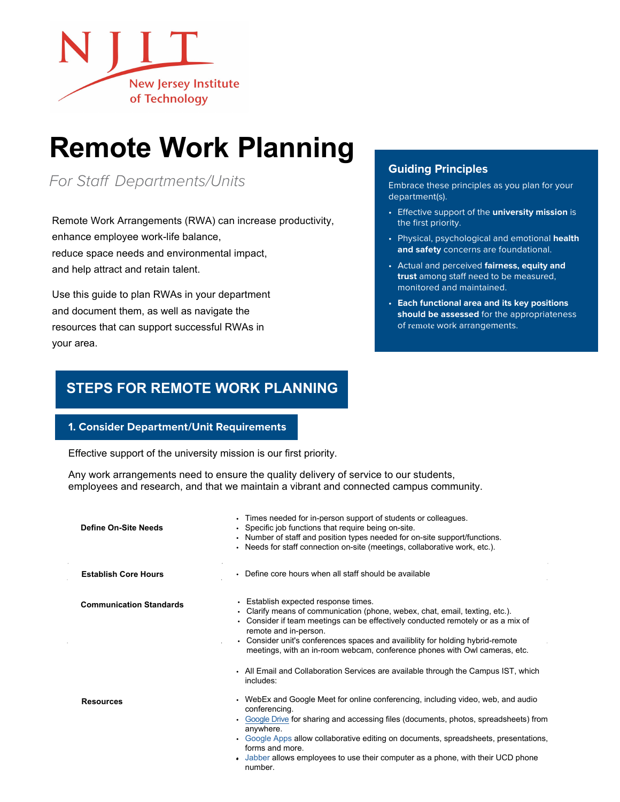

# **Remote Work Planning**

*For Staff Departments/Units*

Remote Work Arrangements (RWA) can increase productivity, enhance employee work-life balance, reduce space needs and environmental impact, and help attract and retain talent.

Use this guide to plan RWAs in your department and document them, as well as navigate the resources that can support successful RWAs in your area.

# **Guiding Principles**

Embrace these principles as you plan for your department(s).

- Effective support of the **university mission** is the first priority.
- Physical, psychological and emotional **health and safety** concerns are foundational.
- Actual and perceived **fairness, equity and trust** among staff need to be measured, monitored and maintained.
- **Each functional area and its key positions should be assessed** for the appropriateness of remote work arrangements.

# **STEPS FOR REMOTE WORK PLANNING**

## **1. Consider Department/Unit Requirements**

Effective support of the university mission is our first priority.

Any work arrangements need to ensure the quality delivery of service to our students, employees and research, and that we maintain a vibrant and connected campus community.

| Define On-Site Needs           | Times needed for in-person support of students or colleagues.<br>$\bullet$<br>• Specific job functions that require being on-site.<br>. Number of staff and position types needed for on-site support/functions.<br>• Needs for staff connection on-site (meetings, collaborative work, etc.).                                                                                                     |
|--------------------------------|----------------------------------------------------------------------------------------------------------------------------------------------------------------------------------------------------------------------------------------------------------------------------------------------------------------------------------------------------------------------------------------------------|
| <b>Establish Core Hours</b>    | • Define core hours when all staff should be available                                                                                                                                                                                                                                                                                                                                             |
| <b>Communication Standards</b> | • Establish expected response times.<br>• Clarify means of communication (phone, webex, chat, email, texting, etc.).<br>• Consider if team meetings can be effectively conducted remotely or as a mix of<br>remote and in-person.<br>• Consider unit's conferences spaces and availibility for holding hybrid-remote<br>meetings, with an in-room webcam, conference phones with Owl cameras, etc. |
|                                | • All Email and Collaboration Services are available through the Campus IST, which<br>includes:                                                                                                                                                                                                                                                                                                    |
| <b>Resources</b>               | • WebEx and Google Meet for online conferencing, including video, web, and audio<br>conferencing.<br>• Google Drive for sharing and accessing files (documents, photos, spreadsheets) from<br>anywhere.                                                                                                                                                                                            |
|                                | • Google Apps allow collaborative editing on documents, spreadsheets, presentations,<br>forms and more.<br>• Jabber allows employees to use their computer as a phone, with their UCD phone<br>number.                                                                                                                                                                                             |